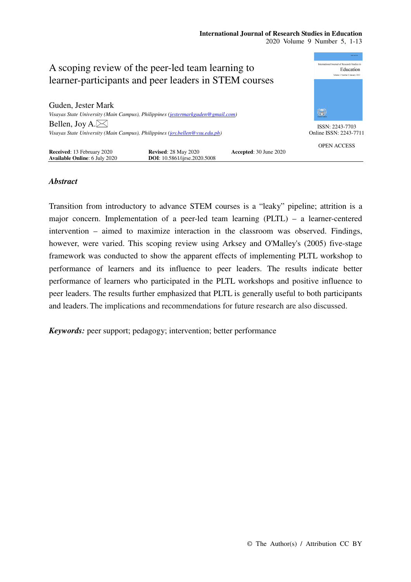# **International Journal of Research Studies in Education**

2020 Volume 9 Number 5, 1-13



# *Abstract*

Transition from introductory to advance STEM courses is a "leaky" pipeline; attrition is a major concern. Implementation of a peer-led team learning (PLTL) – a learner-centered intervention – aimed to maximize interaction in the classroom was observed. Findings, however, were varied. This scoping review using Arksey and O'Malley's (2005) five-stage framework was conducted to show the apparent effects of implementing PLTL workshop to performance of learners and its influence to peer leaders. The results indicate better performance of learners who participated in the PLTL workshops and positive influence to peer leaders. The results further emphasized that PLTL is generally useful to both participants and leaders.The implications and recommendations for future research are also discussed.

*Keywords:* peer support; pedagogy; intervention; better performance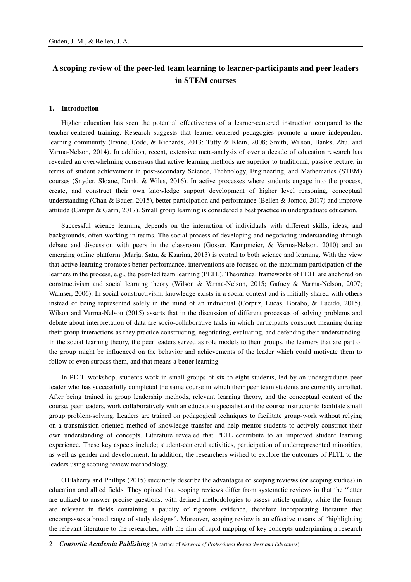# **A scoping review of the peer-led team learning to learner-participants and peer leaders in STEM courses**

#### **1. Introduction**

Higher education has seen the potential effectiveness of a learner-centered instruction compared to the teacher-centered training. Research suggests that learner-centered pedagogies promote a more independent learning community (Irvine, Code, & Richards, 2013; Tutty & Klein, 2008; Smith, Wilson, Banks, Zhu, and Varma-Nelson, 2014). In addition, recent, extensive meta-analysis of over a decade of education research has revealed an overwhelming consensus that active learning methods are superior to traditional, passive lecture, in terms of student achievement in post-secondary Science, Technology, Engineering, and Mathematics (STEM) courses (Snyder, Sloane, Dunk, & Wiles, 2016). In active processes where students engage into the process, create, and construct their own knowledge support development of higher level reasoning, conceptual understanding (Chan & Bauer, 2015), better participation and performance (Bellen & Jomoc, 2017) and improve attitude (Campit & Garin, 2017). Small group learning is considered a best practice in undergraduate education.

Successful science learning depends on the interaction of individuals with different skills, ideas, and backgrounds, often working in teams. The social process of developing and negotiating understanding through debate and discussion with peers in the classroom (Gosser, Kampmeier, & Varma-Nelson, 2010) and an emerging online platform (Marja, Satu, & Kaarina, 2013) is central to both science and learning. With the view that active learning promotes better performance, interventions are focused on the maximum participation of the learners in the process, e.g., the peer-led team learning (PLTL). Theoretical frameworks of PLTL are anchored on constructivism and social learning theory (Wilson & Varma-Nelson, 2015; Gafney & Varma-Nelson, 2007; Wamser, 2006). In social constructivism, knowledge exists in a social context and is initially shared with others instead of being represented solely in the mind of an individual (Corpuz, Lucas, Borabo, & Lucido, 2015). Wilson and Varma-Nelson (2015) asserts that in the discussion of different processes of solving problems and debate about interpretation of data are socio-collaborative tasks in which participants construct meaning during their group interactions as they practice constructing, negotiating, evaluating, and defending their understanding. In the social learning theory, the peer leaders served as role models to their groups, the learners that are part of the group might be influenced on the behavior and achievements of the leader which could motivate them to follow or even surpass them, and that means a better learning.

In PLTL workshop, students work in small groups of six to eight students, led by an undergraduate peer leader who has successfully completed the same course in which their peer team students are currently enrolled. After being trained in group leadership methods, relevant learning theory, and the conceptual content of the course, peer leaders, work collaboratively with an education specialist and the course instructor to facilitate small group problem-solving. Leaders are trained on pedagogical techniques to facilitate group-work without relying on a transmission-oriented method of knowledge transfer and help mentor students to actively construct their own understanding of concepts. Literature revealed that PLTL contribute to an improved student learning experience. These key aspects include; student-centered activities, participation of underrepresented minorities, as well as gender and development. In addition, the researchers wished to explore the outcomes of PLTL to the leaders using scoping review methodology.

O'Flaherty and Phillips (2015) succinctly describe the advantages of scoping reviews (or scoping studies) in education and allied fields. They opined that scoping reviews differ from systematic reviews in that the "latter are utilized to answer precise questions, with defined methodologies to assess article quality, while the former are relevant in fields containing a paucity of rigorous evidence, therefore incorporating literature that encompasses a broad range of study designs". Moreover, scoping review is an effective means of "highlighting the relevant literature to the researcher, with the aim of rapid mapping of key concepts underpinning a research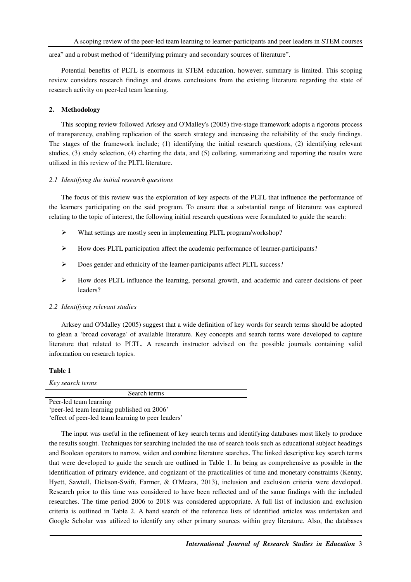area" and a robust method of "identifying primary and secondary sources of literature".

Potential benefits of PLTL is enormous in STEM education, however, summary is limited. This scoping review considers research findings and draws conclusions from the existing literature regarding the state of research activity on peer-led team learning.

# **2. Methodology**

This scoping review followed Arksey and O'Malley's (2005) five-stage framework adopts a rigorous process of transparency, enabling replication of the search strategy and increasing the reliability of the study findings. The stages of the framework include; (1) identifying the initial research questions, (2) identifying relevant studies, (3) study selection, (4) charting the data, and (5) collating, summarizing and reporting the results were utilized in this review of the PLTL literature.

### *2.1 Identifying the initial research questions*

The focus of this review was the exploration of key aspects of the PLTL that influence the performance of the learners participating on the said program. To ensure that a substantial range of literature was captured relating to the topic of interest, the following initial research questions were formulated to guide the search:

- What settings are mostly seen in implementing PLTL program/workshop?
- $\triangleright$  How does PLTL participation affect the academic performance of learner-participants?
- Does gender and ethnicity of the learner-participants affect PLTL success?
- $\triangleright$  How does PLTL influence the learning, personal growth, and academic and career decisions of peer leaders?

## *2.2 Identifying relevant studies*

Arksey and O'Malley (2005) suggest that a wide definition of key words for search terms should be adopted to glean a 'broad coverage' of available literature. Key concepts and search terms were developed to capture literature that related to PLTL. A research instructor advised on the possible journals containing valid information on research topics.

# **Table 1**

| Key search terms                                   |
|----------------------------------------------------|
| Search terms                                       |
| Peer-led team learning                             |
| 'peer-led team learning published on 2006'         |
| 'effect of peer-led team learning to peer leaders' |

The input was useful in the refinement of key search terms and identifying databases most likely to produce the results sought. Techniques for searching included the use of search tools such as educational subject headings and Boolean operators to narrow, widen and combine literature searches. The linked descriptive key search terms that were developed to guide the search are outlined in Table 1. In being as comprehensive as possible in the identification of primary evidence, and cognizant of the practicalities of time and monetary constraints (Kenny, Hyett, Sawtell, Dickson-Swift, Farmer, & O'Meara, 2013), inclusion and exclusion criteria were developed. Research prior to this time was considered to have been reflected and of the same findings with the included researches. The time period 2006 to 2018 was considered appropriate. A full list of inclusion and exclusion criteria is outlined in Table 2. A hand search of the reference lists of identified articles was undertaken and Google Scholar was utilized to identify any other primary sources within grey literature. Also, the databases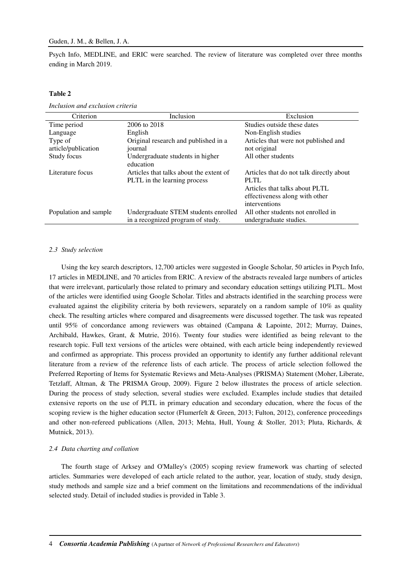Psych Info, MEDLINE, and ERIC were searched. The review of literature was completed over three months ending in March 2019.

## **Table 2**

| Criterion             | Inclusion                               | Exclusion                                |
|-----------------------|-----------------------------------------|------------------------------------------|
| Time period           | 2006 to 2018                            | Studies outside these dates              |
| Language              | English                                 | Non-English studies                      |
| Type of               | Original research and published in a    | Articles that were not published and     |
| article/publication   | journal                                 | not original                             |
| Study focus           | Undergraduate students in higher        | All other students                       |
|                       | education                               |                                          |
| Literature focus      | Articles that talks about the extent of | Articles that do not talk directly about |
|                       | PLTL in the learning process            | <b>PLTL</b>                              |
|                       |                                         | Articles that talks about PLTL           |
|                       |                                         | effectiveness along with other           |
|                       |                                         | interventions                            |
| Population and sample | Undergraduate STEM students enrolled    | All other students not enrolled in       |
|                       | in a recognized program of study.       | undergraduate studies.                   |

*Inclusion and exclusion criteria* 

## *2.3 Study selection*

Using the key search descriptors, 12,700 articles were suggested in Google Scholar, 50 articles in Psych Info, 17 articles in MEDLINE, and 70 articles from ERIC. A review of the abstracts revealed large numbers of articles that were irrelevant, particularly those related to primary and secondary education settings utilizing PLTL. Most of the articles were identified using Google Scholar. Titles and abstracts identified in the searching process were evaluated against the eligibility criteria by both reviewers, separately on a random sample of 10% as quality check. The resulting articles where compared and disagreements were discussed together. The task was repeated until 95% of concordance among reviewers was obtained (Campana & Lapointe, 2012; Murray, Daines, Archibald, Hawkes, Grant, & Mutrie, 2016). Twenty four studies were identified as being relevant to the research topic. Full text versions of the articles were obtained, with each article being independently reviewed and confirmed as appropriate. This process provided an opportunity to identify any further additional relevant literature from a review of the reference lists of each article. The process of article selection followed the Preferred Reporting of Items for Systematic Reviews and Meta-Analyses (PRISMA) Statement (Moher, Liberate, Tetzlaff, Altman, & The PRISMA Group, 2009). Figure 2 below illustrates the process of article selection. During the process of study selection, several studies were excluded. Examples include studies that detailed extensive reports on the use of PLTL in primary education and secondary education, where the focus of the scoping review is the higher education sector (Flumerfelt & Green, 2013; Fulton, 2012), conference proceedings and other non-refereed publications (Allen, 2013; Mehta, Hull, Young & Stoller, 2013; Pluta, Richards, & Mutnick, 2013).

### *2.4 Data charting and collation*

The fourth stage of Arksey and O'Malley's (2005) scoping review framework was charting of selected articles. Summaries were developed of each article related to the author, year, location of study, study design, study methods and sample size and a brief comment on the limitations and recommendations of the individual selected study. Detail of included studies is provided in Table 3.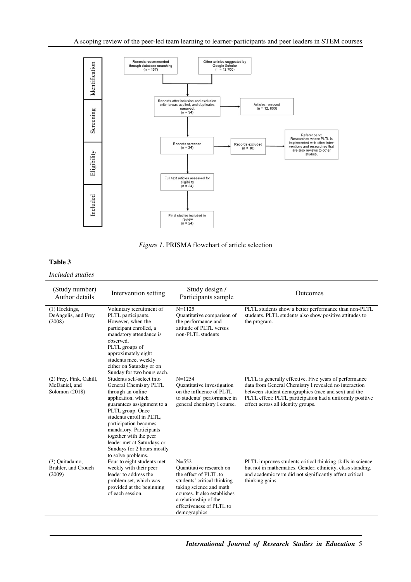

*Figure 1*. PRISMA flowchart of article selection

# **Table 3**

*Included studies* 

| (Study number)<br>Author details                             | Intervention setting                                                                                                                                                                                                                                                                                                                         | Study design /<br>Participants sample                                                                                                                                                                                          | Outcomes                                                                                                                                                                                                                                                                 |
|--------------------------------------------------------------|----------------------------------------------------------------------------------------------------------------------------------------------------------------------------------------------------------------------------------------------------------------------------------------------------------------------------------------------|--------------------------------------------------------------------------------------------------------------------------------------------------------------------------------------------------------------------------------|--------------------------------------------------------------------------------------------------------------------------------------------------------------------------------------------------------------------------------------------------------------------------|
| (1) Hockings,<br>DeAngelis, and Frey<br>(2008)               | Voluntary recruitment of<br>PLTL participants.<br>However, when the<br>participant enrolled, a<br>mandatory attendance is<br>observed.<br>PLTL groups of<br>approximately eight<br>students meet weekly<br>either on Saturday or on<br>Sunday for two hours each.                                                                            | $N = 1125$<br>Quantitative comparison of<br>the performance and<br>attitude of PLTL versus<br>non-PLTL students                                                                                                                | PLTL students show a better performance than non-PLTL<br>students. PLTL students also show positive attitudes to<br>the program.                                                                                                                                         |
| (2) Frey, Fink, Cahill,<br>McDaniel, and<br>Solomon $(2018)$ | Students self-select into<br>General Chemistry PLTL<br>through an online<br>application, which<br>guarantees assignment to a<br>PLTL group. Once<br>students enroll in PLTL.<br>participation becomes<br>mandatory. Participants<br>together with the peer<br>leader met at Saturdays or<br>Sundays for 2 hours mostly<br>to solve problems. | $N = 1254$<br>Quantitative investigation<br>on the influence of PLTL.<br>to students' performance in<br>general chemistry I course.                                                                                            | PLTL is generally effective. Five years of performance<br>data from General Chemistry I revealed no interaction<br>between student demographics (race and sex) and the<br>PLTL effect: PLTL participation had a uniformly positive<br>effect across all identity groups. |
| (3) Ouitadamo,<br>Brahler, and Crouch<br>(2009)              | Four to eight students met<br>weekly with their peer<br>leader to address the<br>problem set, which was<br>provided at the beginning<br>of each session.                                                                                                                                                                                     | $N = 552$<br>Quantitative research on<br>the effect of PLTL to<br>students' critical thinking<br>taking science and math<br>courses. It also establishes<br>a relationship of the<br>effectiveness of PLTL to<br>demographics. | PLTL improves students critical thinking skills in science<br>but not in mathematics. Gender, ethnicity, class standing,<br>and academic term did not significantly affect critical<br>thinking gains.                                                                   |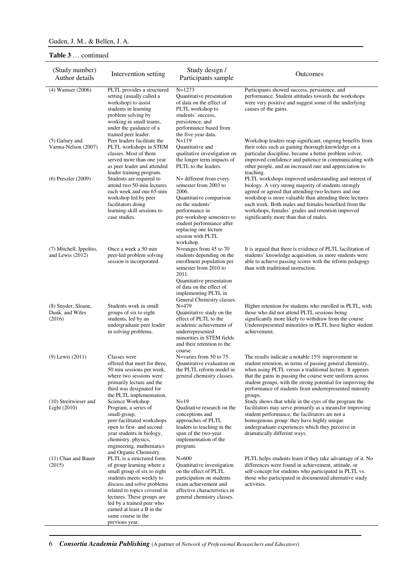# **Table 3** … continued

| (Study number)<br>Author details                 | Intervention setting                                                                                                                                                                                                                                                                                             | Study design /<br>Participants sample                                                                                                                                                                                                           | Outcomes                                                                                                                                                                                                                                                                                                                                                                                |
|--------------------------------------------------|------------------------------------------------------------------------------------------------------------------------------------------------------------------------------------------------------------------------------------------------------------------------------------------------------------------|-------------------------------------------------------------------------------------------------------------------------------------------------------------------------------------------------------------------------------------------------|-----------------------------------------------------------------------------------------------------------------------------------------------------------------------------------------------------------------------------------------------------------------------------------------------------------------------------------------------------------------------------------------|
| $(4)$ Wamser $(2006)$                            | PLTL provides a structured<br>setting (usually called a<br>workshop) to assist<br>students in learning<br>problem solving by<br>working in small teams,<br>under the guidance of a<br>trained peer leader.                                                                                                       | $N = 1273$<br>Quantitative presentation<br>of data on the effect of<br>PLTL workshop to<br>students' success,<br>persistence, and<br>performance based from<br>the five-year data.                                                              | Participants showed success, persistence, and<br>performance. Student attitudes towards the workshops<br>were very positive and suggest some of the underlying<br>causes of the gains.                                                                                                                                                                                                  |
| (5) Gafney and<br>Varma-Nelson (2007)            | Peer leaders facilitate the<br>PLTL workshops in STEM<br>classes. Most of them<br>served more than one year<br>as peer leader and attended<br>leader training program.                                                                                                                                           | $N = 119$<br>Quantitative and<br>qualitative investigation on<br>the longer term impacts of<br>PLTL to the leaders.                                                                                                                             | Workshop leaders reap significant, ongoing benefits from<br>their roles such as gaining thorough knowledge on a<br>particular discipline, became a better problem solver,<br>improved confidence and patience in communicating with<br>other people, and an increased rate and appreciation to<br>teaching.                                                                             |
| $(6)$ Preszler $(2009)$                          | Students are required to<br>attend two 50-min lectures<br>each week and one 65-min<br>workshop led by peer<br>facilitators doing<br>learning-skill sessions to<br>case studies.                                                                                                                                  | N= different from every<br>semester from 2003 to<br>2006.<br>Quantitative comparison<br>on the students'<br>performance in<br>pre-workshop semesters to<br>student performance after<br>replacing one lecture<br>session with PLTL<br>workshop. | PLTL workshops improved understanding and interest of<br>biology. A very strong majority of students strongly<br>agreed or agreed that attending two lectures and one<br>workshop is more valuable than attending three lectures<br>each week. Both males and females benefited from the<br>workshops, females' grades and retention improved<br>significantly more than that of males. |
| (7) Mitchell, Ippolito,<br>and Lewis (2012)      | Once a week a 50 min<br>peer-led problem solving<br>session is incorporated.                                                                                                                                                                                                                                     | N=ranges from 45 to 70<br>students depending on the<br>enrollment population per<br>semester from 2010 to<br>2011.<br>Quantitative presentation<br>of data on the effect of<br>implementing PLTL in<br>General Chemistry classes.               | It is argued that there is evidence of PLTL facilitation of<br>students' knowledge acquisition, as more students were<br>able to achieve passing scores with the reform pedagogy<br>than with traditional instruction.                                                                                                                                                                  |
| (8) Snyder, Sloane,<br>Dunk, and Wiles<br>(2016) | Students work in small<br>groups of six to eight<br>students, led by an<br>undergraduate peer leader<br>in solving problems.                                                                                                                                                                                     | $N=479$<br>Quantitative study on the<br>effect of PLTL to the<br>academic achievement of<br>underrepresented<br>minorities in STEM fields<br>and their retention to the<br>course.                                                              | Higher retention for students who enrolled in PLTL, with<br>those who did not attend PLTL sessions being<br>significantly more likely to withdraw from the course.<br>Underrepresented minorities in PLTL have higher student<br>achievement.                                                                                                                                           |
| $(9)$ Lewis $(2011)$                             | Classes were<br>offered that meet for three,<br>50 min sessions per week,<br>where two sessions were<br>primarily lecture and the<br>third was designated for<br>the PLTL implementation.                                                                                                                        | N=varies from 50 to 75.<br>Quantitative evaluation on<br>the PLTL reform model in<br>general chemistry classes.                                                                                                                                 | The results indicate a notable $15\%$ improvement in<br>student retention, in terms of passing general chemistry,<br>when using PLTL versus a traditional lecture. It appears<br>that the gains in passing the course were uniform across<br>student groups, with the strong potential for improving the<br>performance of students from underrepresented minority<br>groups.           |
| (10) Streitwieser and<br>Light (2010)            | Science Workshop<br>Program, a series of<br>small-group,<br>peer-facilitated workshops<br>open to first- and second<br>year students in biology,<br>chemistry, physics,<br>engineering, mathematics<br>and Organic Chemistry.                                                                                    | $N=19$<br>Qualitative research on the<br>conceptions and<br>approaches of PLTL<br>leaders to teaching in the<br>span of the two-year<br>implementation of the<br>program.                                                                       | Study shows that while in the eyes of the program the<br>facilitators may serve primarily as a meansfor improving<br>student performance, the facilitators are not a<br>homogenous group: they have highly unique<br>undergraduate experiences which they perceive in<br>dramatically different ways.                                                                                   |
| (11) Chan and Bauer<br>(2015)                    | PLTL is a structured form<br>of group learning where a<br>small group of six to eight<br>students meets weekly to<br>discuss and solve problems<br>related to topics covered in<br>lectures. These groups are<br>led by a trained peer who<br>earned at least a B in the<br>same course in the<br>previous year. | $N = 600$<br>Quantitative investigation<br>on the effect of PLTL<br>participation on students<br>exam achievement and<br>affective characteristics in<br>general chemistry classes.                                                             | PLTL helps students learn if they take advantage of it. No<br>differences were found in achievement, attitude, or<br>self-concept for students who participated in PLTL vs.<br>those who participated in documented alternative study<br>activities.                                                                                                                                    |

6 *Consortia Academia Publishing* (A partner of *Network of Professional Researchers and Educators*)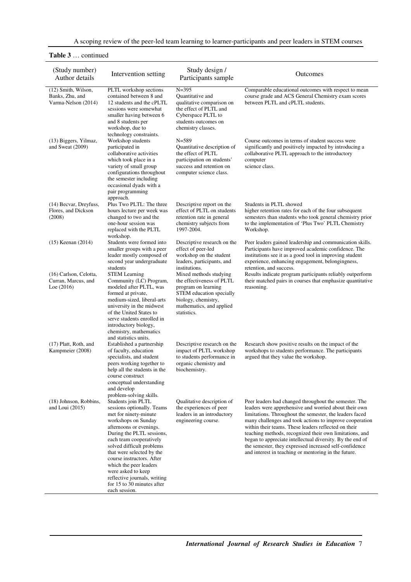# **Table 3** … continued

| (Study number)<br>Author details                              | Intervention setting                                                                                                                                                                                                                                                                                                                                                                                      | Study design /<br>Participants sample                                                                                                                                    | Outcomes                                                                                                                                                                                                                                                                                                                                                                                                                                                                                                                               |
|---------------------------------------------------------------|-----------------------------------------------------------------------------------------------------------------------------------------------------------------------------------------------------------------------------------------------------------------------------------------------------------------------------------------------------------------------------------------------------------|--------------------------------------------------------------------------------------------------------------------------------------------------------------------------|----------------------------------------------------------------------------------------------------------------------------------------------------------------------------------------------------------------------------------------------------------------------------------------------------------------------------------------------------------------------------------------------------------------------------------------------------------------------------------------------------------------------------------------|
| (12) Smith, Wilson,<br>Banks, Zhu, and<br>Varma-Nelson (2014) | PLTL workshop sections<br>contained between 8 and<br>12 students and the cPLTL<br>sessions were somewhat<br>smaller having between 6<br>and 8 students per<br>workshop, due to                                                                                                                                                                                                                            | $N = 395$<br><b>Ouantitative and</b><br>qualitative comparison on<br>the effect of PLTL and<br>Cyberspace PLTL to<br>students outcomes on<br>chemistry classes.          | Comparable educational outcomes with respect to mean<br>course grade and ACS General Chemistry exam scores<br>between PLTL and cPLTL students.                                                                                                                                                                                                                                                                                                                                                                                         |
| (13) Biggers, Yilmaz,<br>and Sweat (2009)                     | technology constraints.<br>Workshop students<br>participated in<br>collaborative activities<br>which took place in a<br>variety of small group<br>configurations throughout<br>the semester including<br>occasional dyads with a<br>pair programming<br>approach.                                                                                                                                         | $N = 589$<br>Quantitative description of<br>the effect of PLTL<br>participation on students'<br>success and retention on<br>computer science class.                      | Course outcomes in terms of student success were<br>significantly and positively impacted by introducing a<br>collaborative PLTL approach to the introductory<br>computer<br>science class.                                                                                                                                                                                                                                                                                                                                            |
| (14) Becvar, Dreyfuss,<br>Flores, and Dickson<br>(2008)       | Plus Two PLTL: The three<br>hours lecture per week was<br>changed to two and the<br>one-hour session was<br>replaced with the PLTL<br>workshop.                                                                                                                                                                                                                                                           | Descriptive report on the<br>effect of PLTL on students<br>retention rate in general<br>chemistry subjects from<br>1997-2004.                                            | Students in PLTL showed<br>higher retention rates for each of the four subsequent<br>semesters than students who took general chemistry prior<br>to the implementation of 'Plus Two' PLTL Chemistry<br>Workshop.                                                                                                                                                                                                                                                                                                                       |
| $(15)$ Keenan $(2014)$                                        | Students were formed into<br>smaller groups with a peer<br>leader mostly composed of<br>second year undergraduate<br>students                                                                                                                                                                                                                                                                             | Descriptive research on the<br>effect of peer-led<br>workshop on the student<br>leaders, participants, and<br>institutions.                                              | Peer leaders gained leadership and communication skills.<br>Participants have improved academic confidence. The<br>institutions see it as a good tool in improving student<br>experience, enhancing engagement, belongingness,<br>retention, and success.                                                                                                                                                                                                                                                                              |
| (16) Carlson, Celotta,<br>Curran, Marcus, and<br>Loe $(2016)$ | <b>STEM Learning</b><br>Community (LC) Program,<br>modeled after PLTL, was<br>formed at private,<br>medium-sized, liberal-arts<br>university in the midwest<br>of the United States to<br>serve students enrolled in<br>introductory biology,<br>chemistry, mathematics<br>and statistics units.                                                                                                          | Mixed methods studying<br>the effectiveness of PLTL<br>program on learning<br>STEM education specially<br>biology, chemistry,<br>mathematics, and applied<br>statistics. | Results indicate program participants reliably outperform<br>their matched pairs in courses that emphasize quantitative<br>reasoning.                                                                                                                                                                                                                                                                                                                                                                                                  |
| (17) Platt, Roth, and<br>Kampmeier (2008)                     | Established a partnership<br>of faculty, education<br>specialists, and student<br>peers working together to<br>help all the students in the<br>course construct<br>conceptual understanding<br>and develop<br>problem-solving skills.                                                                                                                                                                     | Descriptive research on the<br>impact of PLTL workshop<br>to students performance in<br>organic chemistry and<br>biochemistry.                                           | Research show positive results on the impact of the<br>workshops to students performance. The participants<br>argued that they value the workshop.                                                                                                                                                                                                                                                                                                                                                                                     |
| (18) Johnson, Robbins,<br>and Loui $(2015)$                   | Students join PLTL<br>sessions optionally. Teams<br>met for ninety-minute<br>workshops on Sunday<br>afternoons or evenings.<br>During the PLTL sessions,<br>each team cooperatively<br>solved difficult problems<br>that were selected by the<br>course instructors. After<br>which the peer leaders<br>were asked to keep<br>reflective journals, writing<br>for 15 to 30 minutes after<br>each session. | Qualitative description of<br>the experiences of peer<br>leaders in an introductory<br>engineering course.                                                               | Peer leaders had changed throughout the semester. The<br>leaders were apprehensive and worried about their own<br>limitations. Throughout the semester, the leaders faced<br>many challenges and took actions to improve cooperation<br>within their teams. These leaders reflected on their<br>teaching methods, recognized their own limitations, and<br>began to appreciate intellectual diversity. By the end of<br>the semester, they expressed increased self-confidence<br>and interest in teaching or mentoring in the future. |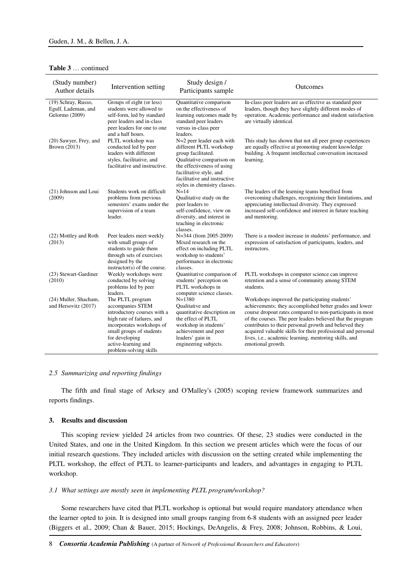# **Table 3** … continued

| (Study number)<br>Author details                             | Intervention setting                                                                                                                                                                                                          | Study design /<br>Participants sample                                                                                                                                                                                            | Outcomes                                                                                                                                                                                                                                                                                                                                                                                                                                     |
|--------------------------------------------------------------|-------------------------------------------------------------------------------------------------------------------------------------------------------------------------------------------------------------------------------|----------------------------------------------------------------------------------------------------------------------------------------------------------------------------------------------------------------------------------|----------------------------------------------------------------------------------------------------------------------------------------------------------------------------------------------------------------------------------------------------------------------------------------------------------------------------------------------------------------------------------------------------------------------------------------------|
| (19) Schray, Russo,<br>Egulf, Lademan, and<br>Gelormo (2009) | Groups of eight (or less)<br>students were allowed to<br>self-form, led by standard<br>peer leaders and in-class<br>peer leaders for one to one<br>and a half hours.                                                          | Quantitative comparison<br>on the effectiveness of<br>learning outcomes made by<br>standard peer leaders<br>versus in-class peer<br>leaders.                                                                                     | In-class peer leaders are as effective as standard peer<br>leaders, though they have slightly different modes of<br>operation. Academic performance and student satisfaction<br>are virtually identical.                                                                                                                                                                                                                                     |
| (20) Sawyer, Frey, and<br>Brown (2013)                       | PLTL workshop was<br>conducted led by peer<br>leaders with different<br>styles, facilitative, and<br>facilitative and instructive.                                                                                            | N=2 peer leader each with<br>different PLTL workshop<br>group facilitated.<br>Qualitative comparison on<br>the effectiveness of using<br>facilitative style, and<br>facilitative and instructive<br>styles in chemistry classes. | This study has shown that not all peer group experiences<br>are equally effective at promoting student knowledge<br>building. A frequent intellectual conversation increased<br>learning.                                                                                                                                                                                                                                                    |
| (21) Johnson and Loui<br>(2009)                              | Students work on difficult<br>problems from previous<br>semesters' exams under the<br>supervision of a team<br>leader.                                                                                                        | $N = 14$<br>Qualitative study on the<br>peer leaders to<br>self-confidence, view on<br>diversity, and interest in<br>teaching in electronic<br>classes.                                                                          | The leaders of the learning teams benefited from<br>overcoming challenges, recognizing their limitations, and<br>appreciating intellectual diversity. They expressed<br>increased self-confidence and interest in future teaching<br>and mentoring.                                                                                                                                                                                          |
| (22) Mottley and Roth<br>(2013)                              | Peer leaders meet weekly<br>with small groups of<br>students to guide them<br>through sets of exercises<br>designed by the<br>instructor(s) of the course.                                                                    | N=344 (from 2005-2009)<br>Mixed research on the<br>effect on including PLTL<br>workshop to students'<br>performance in electronic<br>classes.                                                                                    | There is a modest increase in students' performance, and<br>expression of satisfaction of participants, leaders, and<br>instructors.                                                                                                                                                                                                                                                                                                         |
| (23) Stewart-Gardiner<br>(2010)                              | Weekly workshops were<br>conducted by solving<br>problems led by peer<br>leaders.                                                                                                                                             | Quantitative comparison of<br>students' perception on<br>PLTL workshops in<br>computer science classes.                                                                                                                          | PLTL workshops in computer science can improve<br>retention and a sense of community among STEM<br>students.                                                                                                                                                                                                                                                                                                                                 |
| (24) Muller, Shacham,<br>and Hersovitz (2017)                | The PLTL program<br>accompanies STEM<br>introductory courses with a<br>high rate of failures, and<br>incorporates workshops of<br>small groups of students<br>for developing<br>active-learning and<br>problem-solving skills | $N = 1380$<br><b>Oualitative</b> and<br>quantitative description on<br>the effect of PLTL<br>workshop in students'<br>achievement and peer<br>leaders' gain in<br>engineering subjects.                                          | Workshops improved the participating students'<br>achievements; they accomplished better grades and lower<br>course dropout rates compared to non-participants in most<br>of the courses. The peer leaders believed that the program<br>contributes to their personal growth and believed they<br>acquired valuable skills for their professional and personal<br>lives, i.e., academic learning, mentoring skills, and<br>emotional growth. |

### *2.5 Summarizing and reporting findings*

The fifth and final stage of Arksey and O'Malley's (2005) scoping review framework summarizes and reports findings.

### **3. Results and discussion**

This scoping review yielded 24 articles from two countries. Of these, 23 studies were conducted in the United States, and one in the United Kingdom. In this section we present articles which were the focus of our initial research questions. They included articles with discussion on the setting created while implementing the PLTL workshop, the effect of PLTL to learner-participants and leaders, and advantages in engaging to PLTL workshop.

### *3.1 What settings are mostly seen in implementing PLTL program/workshop?*

Some researchers have cited that PLTL workshop is optional but would require mandatory attendance when the learner opted to join. It is designed into small groups ranging from 6-8 students with an assigned peer leader (Biggers et al., 2009; Chan & Bauer, 2015; Hockings, DeAngelis, & Frey, 2008; Johnson, Robbins, & Loui,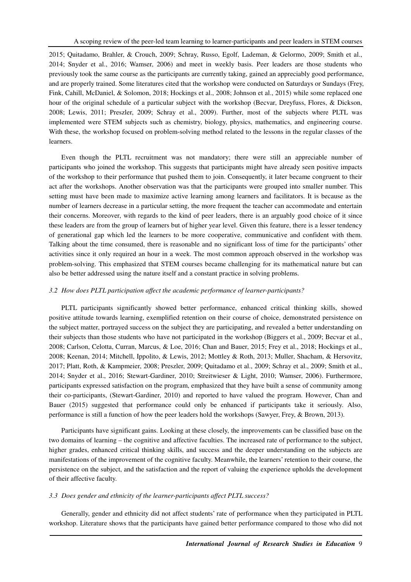2015; Quitadamo, Brahler, & Crouch, 2009; Schray, Russo, Egolf, Lademan, & Gelormo, 2009; Smith et al., 2014; Snyder et al., 2016; Wamser, 2006) and meet in weekly basis. Peer leaders are those students who previously took the same course as the participants are currently taking, gained an appreciably good performance, and are properly trained. Some literatures cited that the workshop were conducted on Saturdays or Sundays (Frey, Fink, Cahill, McDaniel, & Solomon, 2018; Hockings et al., 2008; Johnson et al., 2015) while some replaced one hour of the original schedule of a particular subject with the workshop (Becvar, Dreyfuss, Flores, & Dickson, 2008; Lewis, 2011; Preszler, 2009; Schray et al., 2009). Further, most of the subjects where PLTL was implemented were STEM subjects such as chemistry, biology, physics, mathematics, and engineering course. With these, the workshop focused on problem-solving method related to the lessons in the regular classes of the learners.

Even though the PLTL recruitment was not mandatory; there were still an appreciable number of participants who joined the workshop. This suggests that participants might have already seen positive impacts of the workshop to their performance that pushed them to join. Consequently, it later became congruent to their act after the workshops. Another observation was that the participants were grouped into smaller number. This setting must have been made to maximize active learning among learners and facilitators. It is because as the number of learners decrease in a particular setting, the more frequent the teacher can accommodate and entertain their concerns. Moreover, with regards to the kind of peer leaders, there is an arguably good choice of it since these leaders are from the group of learners but of higher year level. Given this feature, there is a lesser tendency of generational gap which led the learners to be more cooperative, communicative and confident with them. Talking about the time consumed, there is reasonable and no significant loss of time for the participants' other activities since it only required an hour in a week. The most common approach observed in the workshop was problem-solving. This emphasized that STEM courses became challenging for its mathematical nature but can also be better addressed using the nature itself and a constant practice in solving problems.

### *3.2 How does PLTL participation affect the academic performance of learner-participants?*

PLTL participants significantly showed better performance, enhanced critical thinking skills, showed positive attitude towards learning, exemplified retention on their course of choice, demonstrated persistence on the subject matter, portrayed success on the subject they are participating, and revealed a better understanding on their subjects than those students who have not participated in the workshop (Biggers et al., 2009; Becvar et al., 2008; Carlson, Celotta, Curran, Marcus, & Loe, 2016; Chan and Bauer, 2015; Frey et al., 2018; Hockings et al., 2008; Keenan, 2014; Mitchell, Ippolito, & Lewis, 2012; Mottley & Roth, 2013; Muller, Shacham, & Hersovitz, 2017; Platt, Roth, & Kampmeier, 2008; Preszler, 2009; Quitadamo et al., 2009; Schray et al., 2009; Smith et al., 2014; Snyder et al., 2016; Stewart-Gardiner, 2010; Streitwieser & Light, 2010; Wamser, 2006). Furthermore, participants expressed satisfaction on the program, emphasized that they have built a sense of community among their co-participants, (Stewart-Gardiner, 2010) and reported to have valued the program. However, Chan and Bauer (2015) suggested that performance could only be enhanced if participants take it seriously. Also, performance is still a function of how the peer leaders hold the workshops (Sawyer, Frey, & Brown, 2013).

Participants have significant gains. Looking at these closely, the improvements can be classified base on the two domains of learning – the cognitive and affective faculties. The increased rate of performance to the subject, higher grades, enhanced critical thinking skills, and success and the deeper understanding on the subjects are manifestations of the improvement of the cognitive faculty. Meanwhile, the learners' retention to their course, the persistence on the subject, and the satisfaction and the report of valuing the experience upholds the development of their affective faculty.

### *3.3 Does gender and ethnicity of the learner-participants affect PLTL success?*

Generally, gender and ethnicity did not affect students' rate of performance when they participated in PLTL workshop. Literature shows that the participants have gained better performance compared to those who did not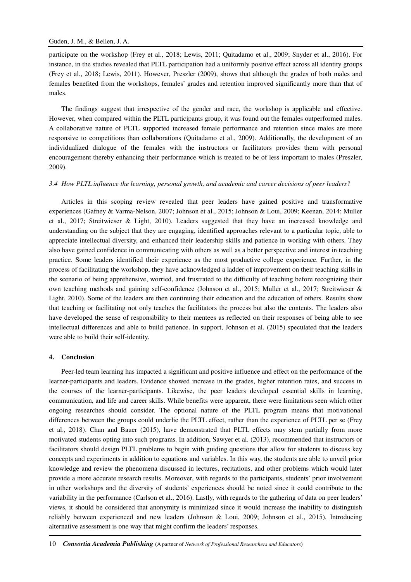participate on the workshop (Frey et al., 2018; Lewis, 2011; Quitadamo et al., 2009; Snyder et al., 2016). For instance, in the studies revealed that PLTL participation had a uniformly positive effect across all identity groups (Frey et al., 2018; Lewis, 2011). However, Preszler (2009), shows that although the grades of both males and females benefited from the workshops, females' grades and retention improved significantly more than that of males.

The findings suggest that irrespective of the gender and race, the workshop is applicable and effective. However, when compared within the PLTL participants group, it was found out the females outperformed males. A collaborative nature of PLTL supported increased female performance and retention since males are more responsive to competitions than collaborations (Quitadamo et al., 2009). Additionally, the development of an individualized dialogue of the females with the instructors or facilitators provides them with personal encouragement thereby enhancing their performance which is treated to be of less important to males (Preszler, 2009).

### *3.4 How PLTL influence the learning, personal growth, and academic and career decisions of peer leaders?*

Articles in this scoping review revealed that peer leaders have gained positive and transformative experiences (Gafney & Varma-Nelson, 2007; Johnson et al., 2015; Johnson & Loui, 2009; Keenan, 2014; Muller et al., 2017; Streitwieser & Light, 2010). Leaders suggested that they have an increased knowledge and understanding on the subject that they are engaging, identified approaches relevant to a particular topic, able to appreciate intellectual diversity, and enhanced their leadership skills and patience in working with others. They also have gained confidence in communicating with others as well as a better perspective and interest in teaching practice. Some leaders identified their experience as the most productive college experience. Further, in the process of facilitating the workshop, they have acknowledged a ladder of improvement on their teaching skills in the scenario of being apprehensive, worried, and frustrated to the difficulty of teaching before recognizing their own teaching methods and gaining self-confidence (Johnson et al., 2015; Muller et al., 2017; Streitwieser & Light, 2010). Some of the leaders are then continuing their education and the education of others. Results show that teaching or facilitating not only teaches the facilitators the process but also the contents. The leaders also have developed the sense of responsibility to their mentees as reflected on their responses of being able to see intellectual differences and able to build patience. In support, Johnson et al. (2015) speculated that the leaders were able to build their self-identity.

#### **4. Conclusion**

Peer-led team learning has impacted a significant and positive influence and effect on the performance of the learner-participants and leaders. Evidence showed increase in the grades, higher retention rates, and success in the courses of the learner-participants. Likewise, the peer leaders developed essential skills in learning, communication, and life and career skills. While benefits were apparent, there were limitations seen which other ongoing researches should consider. The optional nature of the PLTL program means that motivational differences between the groups could underlie the PLTL effect, rather than the experience of PLTL per se (Frey et al., 2018). Chan and Bauer (2015), have demonstrated that PLTL effects may stem partially from more motivated students opting into such programs. In addition, Sawyer et al. (2013), recommended that instructors or facilitators should design PLTL problems to begin with guiding questions that allow for students to discuss key concepts and experiments in addition to equations and variables. In this way, the students are able to unveil prior knowledge and review the phenomena discussed in lectures, recitations, and other problems which would later provide a more accurate research results. Moreover, with regards to the participants, students' prior involvement in other workshops and the diversity of students' experiences should be noted since it could contribute to the variability in the performance (Carlson et al., 2016). Lastly, with regards to the gathering of data on peer leaders' views, it should be considered that anonymity is minimized since it would increase the inability to distinguish reliably between experienced and new leaders (Johnson & Loui, 2009; Johnson et al., 2015). Introducing alternative assessment is one way that might confirm the leaders' responses.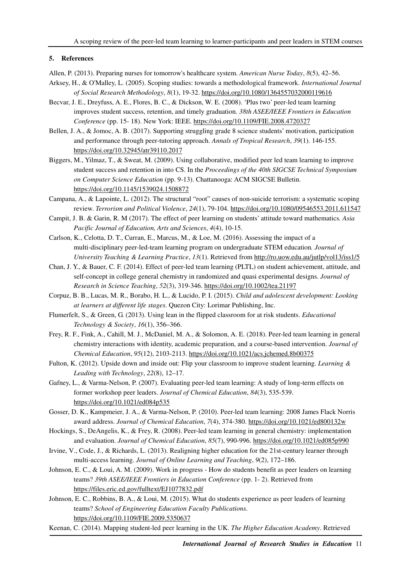### **5. References**

Allen, P. (2013). Preparing nurses for tomorrow's healthcare system. *American Nurse Today*, *8*(5), 42–56.

- Arksey, H., & O'Malley, L. (2005). Scoping studies: towards a methodological framework. *International Journal of Social Research Methodology*, *8*(1), 19-32. https://doi.org/10.1080/1364557032000119616
- Becvar, J. E., Dreyfuss, A. E., Flores, B. C., & Dickson, W. E. (2008). 'Plus two' peer-led team learning improves student success, retention, and timely graduation. *38th ASEE/IEEE Frontiers in Education Conference* (pp. 15- 18). New York: IEEE. https://doi.org/10.1109/FIE.2008.4720327
- Bellen, J. A., & Jomoc, A. B. (2017). Supporting struggling grade 8 science students' motivation, participation and performance through peer-tutoring approach. *Annals of Tropical Research*, *39*(1). 146-155. https://doi.org/10.32945/atr39110.2017
- Biggers, M., Yilmaz, T., & Sweat, M. (2009). Using collaborative, modified peer led team learning to improve student success and retention in into CS. In the *Proceedings of the 40th SIGCSE Technical Symposium on Computer Science Education* (pp. 9-13). Chattanooga: ACM SIGCSE Bulletin. https://doi.org/10.1145/1539024.1508872
- Campana, A., & Lapointe, L. (2012). The structural "root" causes of non-suicide terrorism: a systematic scoping review. *Terrorism and Political Violence*, *24*(1), 79-104. https://doi.org/10.1080/09546553.2011.611547
- Campit, J. B. & Garin, R. M (2017). The effect of peer learning on students' attitude toward mathematics*. Asia Pacific Journal of Education, Arts and Sciences*, *4*(4), 10-15.
- Carlson, K., Celotta, D. T., Curran, E., Marcus, M., & Loe, M. (2016). Assessing the impact of a multi-disciplinary peer-led-team learning program on undergraduate STEM education*. Journal of University Teaching & Learning Practice*, *13*(1). Retrieved from http://ro.uow.edu.au/jutlp/vol13/iss1/5
- Chan, J. Y., & Bauer, C. F. (2014). Effect of peer-led team learning (PLTL) on student achievement, attitude, and self-concept in college general chemistry in randomized and quasi experimental designs. *Journal of Research in Science Teaching*, *52*(3), 319-346. https://doi.org/10.1002/tea.21197
- Corpuz, B. B., Lucas, M. R., Borabo, H. L., & Lucido, P. I. (2015). *Child and adolescent development: Looking at learners at different life stages*. Quezon City: Lorimar Publishing, Inc.
- Flumerfelt, S., & Green, G. (2013). Using lean in the flipped classroom for at risk students. *Educational Technology & Society*, *16*(1), 356–366.
- Frey, R. F., Fink, A., Cahill, M. J., McDaniel, M. A., & Solomon, A. E. (2018). Peer-led team learning in general chemistry interactions with identity, academic preparation, and a course-based intervention. *Journal of Chemical Education*, *95*(12), 2103-2113. https://doi.org/10.1021/acs.jchemed.8b00375
- Fulton, K. (2012). Upside down and inside out: Flip your classroom to improve student learning. *Learning & Leading with Technology*, *22*(8), 12–17.
- Gafney, L., & Varma-Nelson, P. (2007). Evaluating peer-led team learning: A study of long-term effects on former workshop peer leaders. *Journal of Chemical Education*, *84*(3), 535-539. https://doi.org/10.1021/ed084p535
- Gosser, D. K., Kampmeier, J. A., & Varma-Nelson, P. (2010). Peer-led team learning: 2008 James Flack Norris award address. *Journal of Chemical Education*, *7*(4), 374-380. https://doi.org/10.1021/ed800132w
- Hockings, S., DeAngelis, K., & Frey, R. (2008). Peer-led team learning in general chemistry: implementation and evaluation. *Journal of Chemical Education*, *85*(7), 990-996. https://doi.org/10.1021/ed085p990
- Irvine, V., Code, J., & Richards, L. (2013). Realigning higher education for the 21st-century learner through multi-access learning. *Journal of Online Learning and Teaching*, *9*(2), 172–186.
- Johnson, E. C., & Loui, A. M. (2009). Work in progress How do students benefit as peer leaders on learning teams? *39th ASEE/IEEE Frontiers in Education Conference* (pp. 1- 2). Retrieved from https://files.eric.ed.gov/fulltext/EJ1077832.pdf
- Johnson, E. C., Robbins, B. A., & Loui, M. (2015). What do students experience as peer leaders of learning teams? *School of Engineering Education Faculty Publications*. https://doi.org/10.1109/FIE.2009.5350637
- Keenan, C. (2014). Mapping student-led peer learning in the UK. *The Higher Education Academy*. Retrieved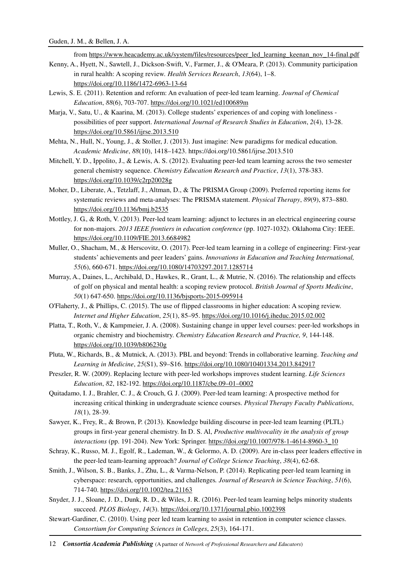from https://www.heacademy.ac.uk/system/files/resources/peer\_led\_learning\_keenan\_nov\_14-final.pdf

- Kenny, A., Hyett, N., Sawtell, J., Dickson-Swift, V., Farmer, J., & O'Meara, P. (2013). Community participation in rural health: A scoping review*. Health Services Research*, *13*(64), 1–8. https://doi.org/10.1186/1472-6963-13-64
- Lewis, S. E. (2011). Retention and reform: An evaluation of peer-led team learning. *Journal of Chemical Education*, *88*(6), 703-707. https://doi.org/10.1021/ed100689m
- Marja, V., Satu, U., & Kaarina, M. (2013). College students' experiences of and coping with loneliness possibilities of peer support. *International Journal of Research Studies in Education*, *2*(4), 13-28. https://doi.org/10.5861/ijrse.2013.510
- Mehta, N., Hull, N., Young, J., & Stoller, J. (2013). Just imagine: New paradigms for medical education. *Academic Medicine*, *88*(10), 1418–1423. https://doi.org/10.5861/ijrse.2013.510
- Mitchell, Y. D., Ippolito, J., & Lewis, A. S. (2012). Evaluating peer-led team learning across the two semester general chemistry sequence. *Chemistry Education Research and Practice*, *13*(1), 378-383. https://doi.org/10.1039/c2rp20028g
- Moher, D., Liberate, A., Tetzlaff, J., Altman, D., & The PRISMA Group (2009). Preferred reporting items for systematic reviews and meta-analyses: The PRISMA statement. *Physical Therapy*, *89*(9), 873–880. https://doi.org/10.1136/bmj.b2535
- Mottley, J. G., & Roth, V. (2013). Peer-led team learning: adjunct to lectures in an electrical engineering course for non-majors. *2013 IEEE frontiers in education conference* (pp. 1027-1032). Oklahoma City: IEEE. https://doi.org/10.1109/FIE.2013.6684982
- Muller, O., Shacham, M., & Herscovitz, O. (2017). Peer-led team learning in a college of engineering: First-year students' achievements and peer leaders' gains. *Innovations in Education and Teaching International, 55*(6), 660-671. https://doi.org/10.1080/14703297.2017.1285714
- Murray, A., Daines, L., Archibald, D., Hawkes, R., Grant, L., & Mutrie, N. (2016). The relationship and effects of golf on physical and mental health: a scoping review protocol. *British Journal of Sports Medicine*, *50*(1) 647-650. https://doi.org/10.1136/bjsports-2015-095914
- O'Flaherty, J., & Phillips, C. (2015). The use of flipped classrooms in higher education: A scoping review. *Internet and Higher Education*, *25*(1), 85–95. https://doi.org/10.1016/j.iheduc.2015.02.002
- Platta, T., Roth, V., & Kampmeier, J. A. (2008). Sustaining change in upper level courses: peer-led workshops in organic chemistry and biochemistry. *Chemistry Education Research and Practice, 9*, 144-148. https://doi.org/10.1039/b806230g
- Pluta, W., Richards, B., & Mutnick, A. (2013). PBL and beyond: Trends in collaborative learning. *Teaching and Learning in Medicine*, *25*(S1), S9–S16. https://doi.org/10.1080/10401334.2013.842917
- Preszler, R. W. (2009). Replacing lecture with peer-led workshops improves student learning. *Life Sciences Education*, *82*, 182-192. https://doi.org/10.1187/cbe.09–01–0002
- Quitadamo, I. J., Brahler, C. J., & Crouch, G. J. (2009). Peer-led team learning: A prospective method for increasing critical thinking in undergraduate science courses. *Physical Therapy Faculty Publications*, *18*(1), 28-39.
- Sawyer, K., Frey, R., & Brown, P. (2013). Knowledge building discourse in peer-led team learning (PLTL) groups in first-year general chemistry. In D. S. Al, *Productive multivocality in the analysis of group interactions* (pp. 191-204). New York: Springer. https://doi.org/10.1007/978-1-4614-8960-3\_10
- Schray, K., Russo, M. J., Egolf, R., Lademan, W., & Gelormo, A. D. (2009). Are in-class peer leaders effective in the peer-led team-learning approach? *Journal of College Science Teaching*, *38*(4), 62-68.
- Smith, J., Wilson, S. B., Banks, J., Zhu, L., & Varma-Nelson, P. (2014). Replicating peer-led team learning in cyberspace: research, opportunities, and challenges*. Journal of Research in Science Teaching*, *51*(6), 714-740. https://doi.org/10.1002/tea.21163
- Snyder, J. J., Sloane, J. D., Dunk, R. D., & Wiles, J. R. (2016). Peer-led team learning helps minority students succeed. *PLOS Biology*, *14*(3). https://doi.org/10.1371/journal.pbio.1002398
- Stewart-Gardiner, C. (2010). Using peer led team learning to assist in retention in computer science classes. *Consortium for Computing Sciences in Colleges*, *25*(3), 164-171.
- 12 *Consortia Academia Publishing* (A partner of *Network of Professional Researchers and Educators*)